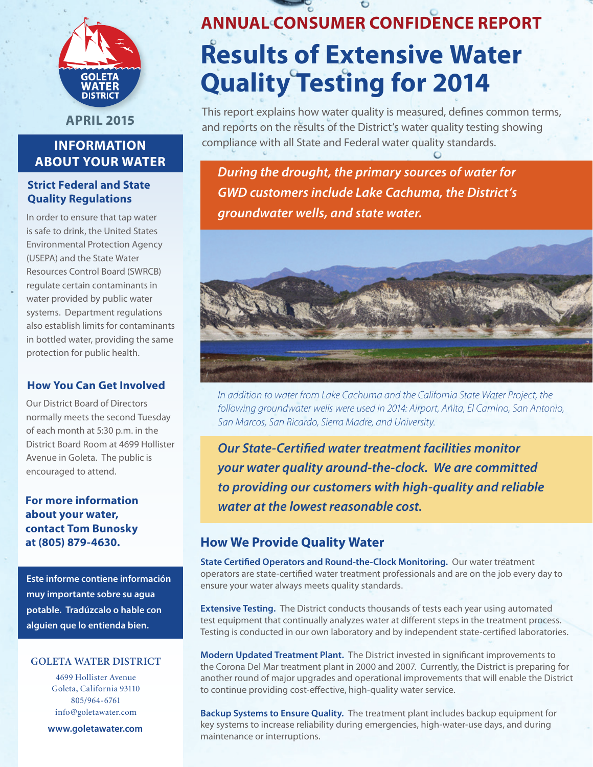

**April 2015**

# **Information About Your Water**

## **Strict Federal and State Quality Regulations**

In order to ensure that tap water is safe to drink, the United States Environmental Protection Agency (USEPA) and the State Water Resources Control Board (SWRCB) regulate certain contaminants in water provided by public water systems. Department regulations also establish limits for contaminants in bottled water, providing the same protection for public health.

#### **How You Can Get Involved**

Our District Board of Directors normally meets the second Tuesday of each month at 5:30 p.m. in the District Board Room at 4699 Hollister Avenue in Goleta. The public is encouraged to attend.

**For more information about your water, contact Tom Bunosky at (805) 879-4630.**

**Este informe contiene información muy importante sobre su agua potable. Tradúzcalo o hable con alguien que lo entienda bien.**

#### **Goleta water district**

4699 Hollister Avenue Goleta, California 93110 805/964-6761 info@goletawater.com

**www.goletawater.com**

# **ANNUAL Consumer Confidence Report Results of Extensive Water Quality Testing for 2014**

This report explains how water quality is measured, defines common terms, and reports on the results of the District's water quality testing showing compliance with all State and Federal water quality standards.

*During the drought, the primary sources of water for GWD customers include Lake Cachuma, the District's groundwater wells, and state water.* 



*In addition to water from Lake Cachuma and the California State Water Project, the following groundwater wells were used in 2014: Airport, Anita, El Camino, San Antonio, San Marcos, San Ricardo, Sierra Madre, and University.*

*Our State-Certified water treatment facilities monitor your water quality around-the-clock. We are committed to providing our customers with high-quality and reliable water at the lowest reasonable cost.*

# **How We Provide Quality Water**

**State Certified Operators and Round-the-Clock Monitoring.** Our water treatment operators are state-certified water treatment professionals and are on the job every day to ensure your water always meets quality standards.

**Extensive Testing.** The District conducts thousands of tests each year using automated test equipment that continually analyzes water at different steps in the treatment process. Testing is conducted in our own laboratory and by independent state-certified laboratories.

**Modern Updated Treatment Plant.** The District invested in significant improvements to the Corona Del Mar treatment plant in 2000 and 2007. Currently, the District is preparing for another round of major upgrades and operational improvements that will enable the District to continue providing cost-effective, high-quality water service.

**Backup Systems to Ensure Quality.** The treatment plant includes backup equipment for key systems to increase reliability during emergencies, high-water-use days, and during maintenance or interruptions.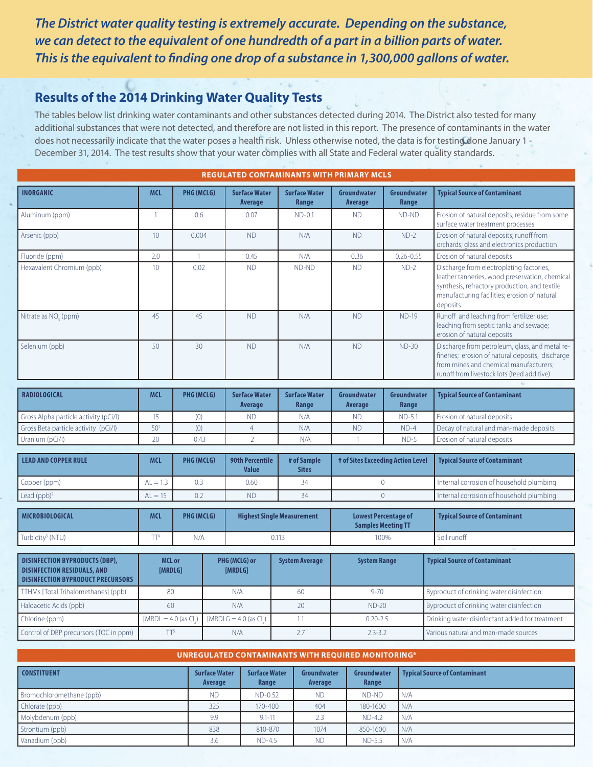*The District water quality testing is extremely accurate. Depending on the substance, we can detect to the equivalent of one hundredth of a part in a billion parts of water. This is the equivalent to finding one drop of a substance in 1,300,000 gallons of water.*

# **Results of the 2014 Drinking Water Quality Tests**

 $Chlorine (ppm)$  [MRDL = 4.0 (as CI.)

The tables below list drinking water contaminants and other substances detected during 2014. The District also tested for many additional substances that were not detected, and therefore are not listed in this report. The presence of contaminants in the water does not necessarily indicate that the water poses a health risk. Unless otherwise noted, the data is for testing done January 1 - December 31, 2014. The test results show that your water complies with all State and Federal water quality standards.

| <b>REGULATED CONTAMINANTS WITH PRIMARY MCLS</b>                                                                         |                          |                   |                                        |                                   |                                   |                                                          |                                                                                                                                                                                                         |  |
|-------------------------------------------------------------------------------------------------------------------------|--------------------------|-------------------|----------------------------------------|-----------------------------------|-----------------------------------|----------------------------------------------------------|---------------------------------------------------------------------------------------------------------------------------------------------------------------------------------------------------------|--|
| <b>INORGANIC</b>                                                                                                        | <b>MCL</b>               | PHG (MCLG)        | <b>Surface Water</b><br>Average        | <b>Surface Water</b><br>Range     | Groundwater<br>Average            | Groundwater<br>Range                                     | <b>Typical Source of Contaminant</b>                                                                                                                                                                    |  |
| Aluminum (ppm)                                                                                                          | $\mathbf{1}$             | 0.6               | 0.07                                   | $ND-0.1$                          | <b>ND</b>                         | ND-ND                                                    | Erosion of natural deposits; residue from some<br>surface water treatment processes                                                                                                                     |  |
| Arsenic (ppb)                                                                                                           | 10                       | 0.004             | <b>ND</b>                              | N/A                               | <b>ND</b>                         | $ND-2$                                                   | Erosion of natural deposits; runoff from<br>orchards; glass and electronics production                                                                                                                  |  |
| Fluoride (ppm)                                                                                                          | 2.0                      | $\mathbf{1}$      | 0.45                                   | N/A                               | 0.36                              | $0.26 - 0.55$                                            | Erosion of natural deposits                                                                                                                                                                             |  |
| Hexavalent Chromium (ppb)                                                                                               | 10 <sup>1</sup>          | 0.02              | <b>ND</b>                              | ND-ND                             | <b>ND</b>                         | $ND-2$                                                   | Discharge from electroplating factories,<br>leather tanneries, wood preservation, chemical<br>synthesis, refractory production, and textile<br>manufacturing facilities; erosion of natural<br>deposits |  |
| Nitrate as NO <sub>2</sub> (ppm)                                                                                        | 45                       | 45                | <b>ND</b>                              | N/A                               | <b>ND</b>                         | <b>ND-19</b>                                             | Runoff and leaching from fertilizer use;<br>leaching from septic tanks and sewage;<br>erosion of natural deposits                                                                                       |  |
| Selenium (ppb)                                                                                                          | 50                       | 30                | <b>ND</b>                              | N/A                               |                                   | $ND-30$                                                  | Discharge from petroleum, glass, and metal re-<br>fineries; erosion of natural deposits; discharge<br>from mines and chemical manufacturers;<br>runoff from livestock lots (feed additive)              |  |
|                                                                                                                         |                          |                   |                                        |                                   |                                   |                                                          |                                                                                                                                                                                                         |  |
| <b>RADIOLOGICAL</b>                                                                                                     | <b>MCL</b>               | PHG (MCLG)        | <b>Surface Water</b><br>Average        | <b>Surface Water</b><br>Range     | <b>Groundwater</b><br>Average     | Groundwater<br>Range                                     | <b>Typical Source of Contaminant</b>                                                                                                                                                                    |  |
| Gross Alpha particle activity (pCi/l)                                                                                   | 15                       | (0)               | <b>ND</b>                              | N/A                               | <b>ND</b>                         | $ND-5.1$                                                 | Erosion of natural deposits                                                                                                                                                                             |  |
| Gross Beta particle activity (pCi/l)                                                                                    | 50 <sup>1</sup>          | (0)               | $\overline{4}$                         | N/A                               | <b>ND</b>                         | $ND-4$                                                   | Decay of natural and man-made deposits                                                                                                                                                                  |  |
| Uranium (pCi/l)                                                                                                         | 20                       | 0.43              | $\overline{2}$                         | N/A                               | $\overline{1}$                    | $ND-5$                                                   | Erosion of natural deposits                                                                                                                                                                             |  |
| <b>LEAD AND COPPER RULE</b>                                                                                             | <b>MCL</b>               | <b>PHG (MCLG)</b> | <b>90th Percentile</b><br><b>Value</b> | # of Sample<br><b>Sites</b>       | # of Sites Exceeding Action Level |                                                          | <b>Typical Source of Contaminant</b>                                                                                                                                                                    |  |
| Copper (ppm)                                                                                                            | $AL = 1.3$               | 0.3               | 0.60                                   | 34                                |                                   | $\overline{0}$                                           | Internal corrosion of household plumbing                                                                                                                                                                |  |
| Lead $(ppb)^2$                                                                                                          | $AL = 15$                | 0.2               | <b>ND</b>                              | 34                                | $\overline{0}$                    |                                                          | Internal corrosion of household plumbing                                                                                                                                                                |  |
| <b>MICROBIOLOGICAL</b>                                                                                                  |                          |                   |                                        |                                   |                                   |                                                          |                                                                                                                                                                                                         |  |
|                                                                                                                         | <b>MCL</b>               | PHG (MCLG)        |                                        | <b>Highest Single Measurement</b> |                                   | <b>Lowest Percentage of</b><br><b>Samples Meeting TT</b> | <b>Typical Source of Contaminant</b>                                                                                                                                                                    |  |
| Turbidity <sup>3</sup> (NTU)                                                                                            | TT <sup>4</sup>          | N/A               |                                        | 0.113                             |                                   | 100%                                                     | Soil runoff                                                                                                                                                                                             |  |
|                                                                                                                         |                          |                   |                                        |                                   |                                   |                                                          |                                                                                                                                                                                                         |  |
| <b>DISINFECTION BYPRODUCTS (DBP),</b><br><b>DISINFECTION RESIDUALS, AND</b><br><b>DISINFECTION BYPRODUCT PRECURSORS</b> | <b>MCL or</b><br>[MRDLG] |                   | PHG (MCLG) or<br>[MRDLG]               | <b>System Average</b>             | <b>System Range</b>               |                                                          | <b>Typical Source of Contaminant</b>                                                                                                                                                                    |  |
| TTHMs [Total Trihalomethanes] (ppb)                                                                                     | 80                       |                   | N/A                                    | 60                                | $9 - 70$                          |                                                          | Byproduct of drinking water disinfection                                                                                                                                                                |  |

| UNREGULATED CONTAMINANTS WITH REQUIRED MONITORING <sup>6</sup> |                                 |                               |                        |                      |                                      |  |  |
|----------------------------------------------------------------|---------------------------------|-------------------------------|------------------------|----------------------|--------------------------------------|--|--|
| <b>CONSTITUENT</b>                                             | <b>Surface Water</b><br>Average | <b>Surface Water</b><br>Range | Groundwater<br>Average | Groundwater<br>Range | <b>Typical Source of Contaminant</b> |  |  |
| Bromochloromethane (ppb)                                       | <b>ND</b>                       | ND-0.52                       | <b>ND</b>              | ND-ND                | N/A                                  |  |  |
| Chlorate (ppb)                                                 | 325                             | 170-400                       | 404                    | 180-1600             | N/A                                  |  |  |
| Molybdenum (ppb)                                               | 9.9                             | $9.1 - 11$                    | 2.3                    | $ND-4.2$             | IN/A                                 |  |  |
| Strontium (ppb)                                                | 838                             | 810-870                       | 1074                   | 850-1600             | N/A                                  |  |  |
| Vanadium (ppb)                                                 | 3.6                             | $ND-4.5$                      | <b>ND</b>              | $ND-5.5$             | N/A                                  |  |  |

Control of DBP precursors (TOC in ppm) TT<sup>5</sup> N/A 2.7 2.3-3.2 Various natural and man-made sources

1.1 0.20-2.5 Drinking water disinfectant added for treatment

 $[MRDLG = 4.0$  (as CI.)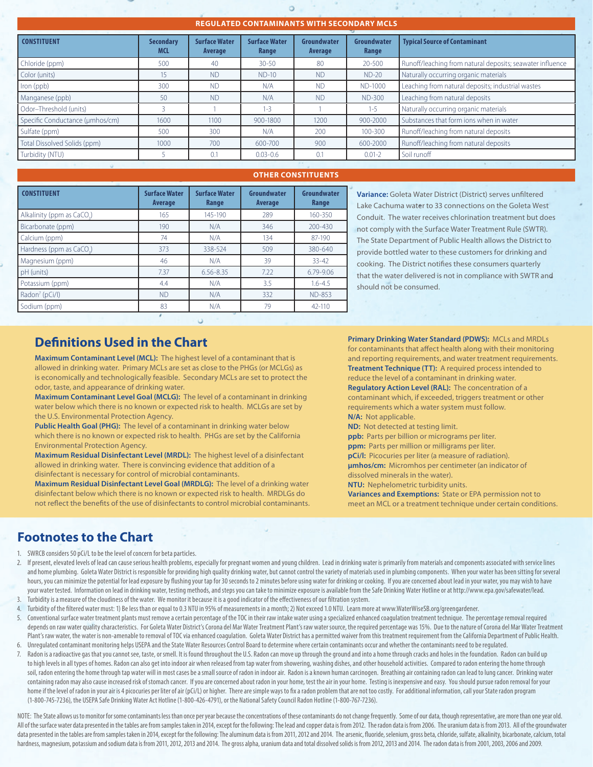#### **Regulated Contaminants with Secondary MCLS**

| <b>CONSTITUENT</b>              | <b>Secondary</b><br><b>MCL</b> | <b>Surface Water</b><br>Average | <b>Surface Water</b><br>Range | Groundwater<br>Average | Groundwater<br>Range | <b>Typical Source of Contaminant</b>                      |
|---------------------------------|--------------------------------|---------------------------------|-------------------------------|------------------------|----------------------|-----------------------------------------------------------|
| Chloride (ppm)                  | 500                            | 40                              | $30 - 50$                     | 80                     | 20-500               | Runoff/leaching from natural deposits; seawater influence |
| Color (units)                   | 15                             | <b>ND</b>                       | $ND-10$                       | <b>ND</b>              | $ND-20$              | Naturally occurring organic materials                     |
| Iron (ppb)                      | 300                            | <b>ND</b>                       | N/A                           | <b>ND</b>              | ND-1000              | Leaching from natural deposits; industrial wastes         |
| Manganese (ppb)                 | 50                             | <b>ND</b>                       | N/A                           | <b>ND</b>              | <b>ND-300</b>        | Leaching from natural deposits                            |
| Odor-Threshold (units)          |                                |                                 | $1 - 3$                       |                        | $1 - 5$              | Naturally occurring organic materials                     |
| Specific Conductance (µmhos/cm) | 1600                           | 1100                            | 900-1800                      | 1200                   | 900-2000             | Substances that form ions when in water                   |
| Sulfate (ppm)                   | 500                            | 300                             | N/A                           | 200                    | 100-300              | Runoff/leaching from natural deposits                     |
| Total Dissolved Solids (ppm)    | 1000                           | 700                             | 600-700                       | 900                    | 600-2000             | Runoff/leaching from natural deposits                     |
| Turbidity (NTU)                 |                                | 0.1                             | $0.03 - 0.6$                  | 0.1                    | $0.01 - 2$           | Soil runoff                                               |
|                                 |                                |                                 |                               |                        |                      |                                                           |

#### **OTHER CONSTITUENTS**

| <b>CONSTITUENT</b>         | <b>Surface Water</b><br><b>Average</b> | <b>Surface Water</b><br>Range | Groundwater<br>Average | Groundwater<br>Range |
|----------------------------|----------------------------------------|-------------------------------|------------------------|----------------------|
| Alkalinity (ppm as CaCO.)  | 165                                    | 145-190                       | 289                    | 160-350              |
| Bicarbonate (ppm)          | 190                                    | N/A                           | 346                    | 200-430              |
| Calcium (ppm)              | 74                                     | N/A                           | 134                    | 87-190               |
| Hardness (ppm as CaCO.)    | 373                                    | 338-524                       | 509                    | 380-640              |
| Magnesium (ppm)            | 46                                     | N/A                           | 39                     | $33 - 42$            |
| pH (units)                 | 7.37                                   | $6.56 - 8.35$                 | 7.22                   | 6.79-9.06            |
| Potassium (ppm)            | 4.4                                    | N/A                           | 3.5                    | $1.6 - 4.5$          |
| Radon <sup>7</sup> (pCi/l) | <b>ND</b>                              | N/A                           | 332                    | <b>ND-853</b>        |
| Sodium (ppm)               | 83                                     | N/A                           | 79                     | 42-110               |
|                            |                                        |                               |                        |                      |

**Variance:** Goleta Water District (District) serves unfiltered Lake Cachuma water to 33 connections on the Goleta West Conduit. The water receives chlorination treatment but does not comply with the Surface Water Treatment Rule (SWTR). The State Department of Public Health allows the District to provide bottled water to these customers for drinking and cooking. The District notifies these consumers quarterly that the water delivered is not in compliance with SWTR and should not be consumed.

# **Definitions Used in the Chart**

**Maximum Contaminant Level (MCL):** The highest level of a contaminant that is allowed in drinking water. Primary MCLs are set as close to the PHGs (or MCLGs) as is economically and technologically feasible. Secondary MCLs are set to protect the odor, taste, and appearance of drinking water.

**Maximum Contaminant Level Goal (MCLG):** The level of a contaminant in drinking water below which there is no known or expected risk to health. MCLGs are set by the U.S. Environmental Protection Agency.

**Public Health Goal (PHG):** The level of a contaminant in drinking water below which there is no known or expected risk to health. PHGs are set by the California Environmental Protection Agency.

**Maximum Residual Disinfectant Level (MRDL):** The highest level of a disinfectant allowed in drinking water. There is convincing evidence that addition of a disinfectant is necessary for control of microbial contaminants.

**Maximum Residual Disinfectant Level Goal (MRDLG):** The level of a drinking water disinfectant below which there is no known or expected risk to health. MRDLGs do not reflect the benefits of the use of disinfectants to control microbial contaminants. **Primary Drinking Water Standard (PDWS):** MCLs and MRDLs for contaminants that affect health along with their monitoring and reporting requirements, and water treatment requirements. **Treatment Technique (TT):** A required process intended to reduce the level of a contaminant in drinking water. **Regulatory Action Level (RAL):** The concentration of a contaminant which, if exceeded, triggers treatment or other requirements which a water system must follow. **N/A:** Not applicable. **ND:** Not detected at testing limit. **ppb:** Parts per billion or micrograms per liter. **ppm:** Parts per million or milligrams per liter. **pCi/l:** Picocuries per liter (a measure of radiation). **μmhos/cm:** Micromhos per centimeter (an indicator of dissolved minerals in the water). **NTU:** Nephelometric turbidity units.

**Variances and Exemptions:** State or EPA permission not to meet an MCL or a treatment technique under certain conditions.

## **Footnotes to the Chart**

- 1. SWRCB considers 50 pCi/L to be the level of concern for beta particles.
- 2. If present, elevated levels of lead can cause serious health problems, especially for pregnant women and young children. Lead in drinking water is primarily from materials and components associated with service lines and home plumbing. Goleta Water District is responsible for providing high quality drinking water, but cannot control the variety of materials used in plumbing components. When your water has been sitting for several hours, you can minimize the potential for lead exposure by flushing your tap for 30 seconds to 2 minutes before using water for drinking or cooking. If you are concerned about lead in your water, you may wish to have your water tested. Information on lead in drinking water, testing methods, and steps you can take to minimize exposure is available from the Safe Drinking Water Hotline or at http://www.epa.gov/safewater/lead.
- 3. Turbidity is a measure of the cloudiness of the water. We monitor it because it is a good indicator of the effectiveness of our filtration system.
- 4. Turbidity of the filtered water must: 1) Be less than or equal to 0.3 NTU in 95% of measurements in a month; 2) Not exceed 1.0 NTU. Learn more at www.WaterWiseSB.org/greengardener.
- 5. Conventional surface water treatment plants must remove a certain percentage of the TOC in their raw intake water using a specialized enhanced coagulation treatment technique. The percentage removal required depends on raw water quality characteristics. For Goleta Water District's Corona del Mar Water Treatment Plant's raw water source, the required percentage was 15%. Due to the nature of Corona del Mar Water Treatment Plant's raw water, the water is non-amenable to removal of TOC via enhanced coagulation. Goleta Water District has a permitted waiver from this treatment requirement from the California Department of Public Health. 6. Unregulated contaminant monitoring helps USEPA and the State Water Resources Control Board to determine where certain contaminants occur and whether the contaminants need to be regulated.
- Radon is a radioactive gas that you cannot see, taste, or smell. It is found throughout the U.S. Radon can move up through the ground and into a home through cracks and holes in the foundation. Radon can build up to high levels in all types of homes. Radon can also get into indoor air when released from tap water from showering, washing dishes, and other household activities. Compared to radon entering the home through soil, radon entering the home through tap water will in most cases be a small source of radon in indoor air. Radon is a known human carcinogen. Breathing air containing radon can lead to lung cancer. Drinking water containing radon may also cause increased risk of stomach cancer. If you are concerned about radon in your home, test the air in your home. Testing is inexpensive and easy. You should pursue radon removal for your home if the level of radon in your air is 4 picocuries per liter of air (pCi/L) or higher. There are simple ways to fix a radon problem that are not too costly. For additional information, call your State radon program (1-800-745-7236), the USEPA Safe Drinking Water Act Hotline (1-800-426-4791), or the National Safety Council Radon Hotline (1-800-767-7236).

NOTE: The State allows us to monitor for some contaminants less than once per year because the concentrations of these contaminants do not change frequently. Some of our data, though representative, are more than one year All of the surface water data presented in the tables are from samples taken in 2014, except for the following: The lead and copper data is from 2012. The radon data is from 2006. The uranium data is from 2013. All of the data presented in the tables are from samples taken in 2014, except for the following: The aluminum data is from 2011, 2012 and 2014. The arsenic, fluoride, selenium, gross beta, chloride, sulfate, alkalinity, bicarbonate, hardness, magnesium, potassium and sodium data is from 2011, 2012, 2013 and 2014. The gross alpha, uranium data and total dissolved solids is from 2012, 2013 and 2014. The radon data is from 2001, 2003, 2006 and 2009.